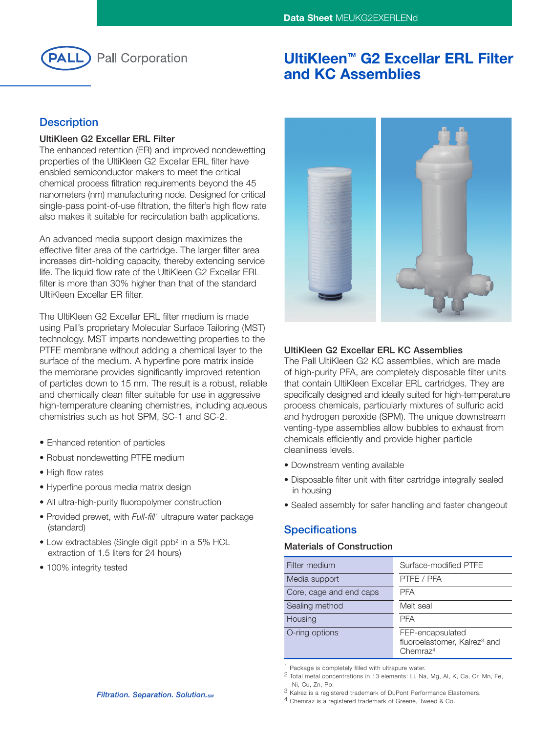

# **UltiKleen™ G2 Excellar ERL Filter and KC Assemblies**

## **Description**

#### **UltiKleen G2 Excellar ERL Filter**

The enhanced retention (ER) and improved nondewetting properties of the UltiKleen G2 Excellar ERL filter have enabled semiconductor makers to meet the critical chemical process filtration requirements beyond the 45 nanometers (nm) manufacturing node. Designed for critical single-pass point-of-use filtration, the filter's high flow rate also makes it suitable for recirculation bath applications.

An advanced media support design maximizes the effective filter area of the cartridge. The larger filter area increases dirt-holding capacity, thereby extending service life. The liquid flow rate of the UltiKleen G2 Excellar ERL filter is more than 30% higher than that of the standard UltiKleen Excellar ER filter.

The UltiKleen G2 Excellar ERL filter medium is made using Pall's proprietary Molecular Surface Tailoring (MST) technology. MST imparts nondewetting properties to the PTFE membrane without adding a chemical layer to the surface of the medium. A hyperfine pore matrix inside the membrane provides significantly improved retention of particles down to 15 nm. The result is a robust, reliable and chemically clean filter suitable for use in aggressive high-temperature cleaning chemistries, including aqueous chemistries such as hot SPM, SC-1 and SC-2.

- Enhanced retention of particles
- Robust nondewetting PTFE medium
- High flow rates
- Hyperfine porous media matrix design
- All ultra-high-purity fluoropolymer construction
- Provided prewet, with *Full-fill* <sup>1</sup> ultrapure water package (standard)
- Low extractables (Single digit ppb2 in a 5% HCL extraction of 1.5 liters for 24 hours)
- 100% integrity tested



### **UltiKleen G2 Excellar ERL KC Assemblies**

The Pall UltiKleen G2 KC assemblies, which are made of high-purity PFA, are completely disposable filter units that contain UltiKleen Excellar ERL cartridges. They are specifically designed and ideally suited for high-temperature process chemicals, particularly mixtures of sulfuric acid and hydrogen peroxide (SPM). The unique downstream venting-type assemblies allow bubbles to exhaust from chemicals efficiently and provide higher particle cleanliness levels.

- Downstream venting available
- Disposable filter unit with filter cartridge integrally sealed in housing
- Sealed assembly for safer handling and faster changeout

## **Specifications**

### **Materials of Construction**

| Filter medium           | Surface-modified PTFE                                                                |
|-------------------------|--------------------------------------------------------------------------------------|
| Media support           | PTFE / PFA                                                                           |
| Core, cage and end caps | <b>PFA</b>                                                                           |
| Sealing method          | Melt seal                                                                            |
| Housing                 | <b>PFA</b>                                                                           |
| O-ring options          | FEP-encapsulated<br>fluoroelastomer, Kalrez <sup>3</sup> and<br>Chemraz <sup>4</sup> |

1 Package is completely filled with ultrapure water.

<sup>2</sup> Total metal concentrations in 13 elements: Li, Na, Mg, Al, K, Ca, Cr, Mn, Fe, Ni, Cu, Zn, Pb.

<sup>3</sup> Kalrez is a registered trademark of DuPont Performance Elastomers.

<sup>4</sup> Chemraz is a registered trademark of Greene, Tweed & Co.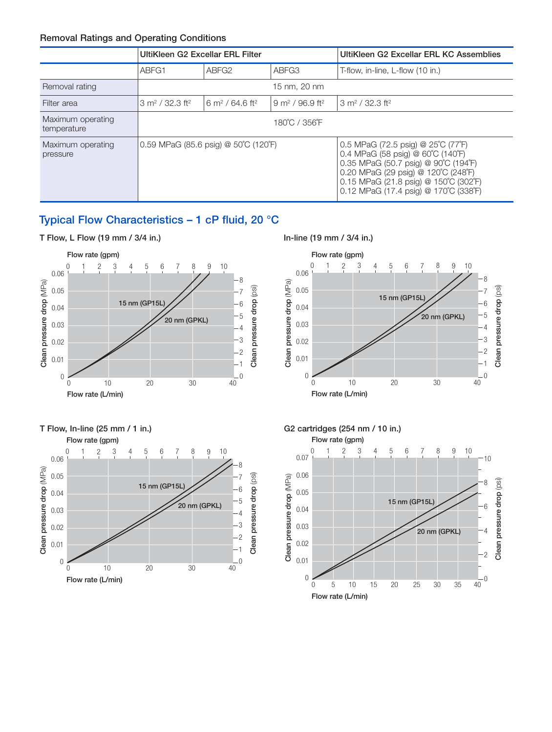### **Removal Ratings and Operating Conditions**

|                                  | UltiKleen G2 Excellar ERL Filter       |                                        |                                          | UltiKleen G2 Excellar ERL KC Assemblies                                                                                                                                                                                                                       |
|----------------------------------|----------------------------------------|----------------------------------------|------------------------------------------|---------------------------------------------------------------------------------------------------------------------------------------------------------------------------------------------------------------------------------------------------------------|
|                                  | ABFG1                                  | ABFG <sub>2</sub>                      | ABFG3                                    | T-flow, in-line, L-flow (10 in.)                                                                                                                                                                                                                              |
| Removal rating                   | 15 nm, 20 nm                           |                                        |                                          |                                                                                                                                                                                                                                                               |
| Filter area                      | $3 \text{ m}^2$ / 32.3 ft <sup>2</sup> | $6 \text{ m}^2$ / 64.6 ft <sup>2</sup> | 13 m <sup>2</sup> / 32.3 ft <sup>2</sup> |                                                                                                                                                                                                                                                               |
| Maximum operating<br>temperature | 180°C / 356°F                          |                                        |                                          |                                                                                                                                                                                                                                                               |
| Maximum operating<br>pressure    | 10.59 MPaG (85.6 psig) @ 50°C (120°F)  |                                        |                                          | 0.5 MPaG (72.5 psig) @ $25^{\circ}$ C (77 $^{\circ}$ F)<br>0.4 MPaG (58 psig) @ 60°C (140°F)<br>0.35 MPaG (50.7 psig) @ 90°C (194°F)<br>0.20 MPaG (29 psig) @ 120°C (248°F)<br>0.15 MPaG (21.8 psig) @ 150°C (302°F)<br>0.12 MPaG (17.4 psig) @ 170°C (338°F) |

## **Typical Flow Characteristics – 1 cP fluid, 20 °C**



0.06 0.05 0.04 0.03 0.02 0.01 0

**Clean pressure drop** (MPa)

Clean pressure drop (MPa)





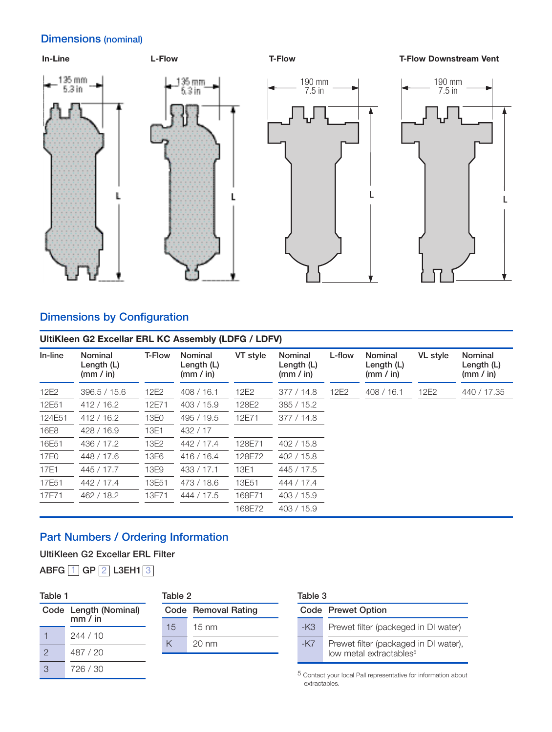## **Dimensions (nominal)**



# **Dimensions by Configuration**

| UltiKleen G2 Excellar ERL KC Assembly (LDFG / LDFV) |                                    |               |                                    |          |                                             |        |                                      |                 |                                             |
|-----------------------------------------------------|------------------------------------|---------------|------------------------------------|----------|---------------------------------------------|--------|--------------------------------------|-----------------|---------------------------------------------|
| In-line                                             | Nominal<br>Length (L)<br>(mm / in) | <b>T-Flow</b> | Nominal<br>Length (L)<br>(mm / in) | VT style | <b>Nominal</b><br>Length $(L)$<br>(mm / in) | L-flow | Nominal<br>Length $(L)$<br>(mm / in) | <b>VL</b> style | <b>Nominal</b><br>Length $(L)$<br>(mm / in) |
| 12E2                                                | 396.5 / 15.6                       | 12E2          | 408/16.1                           | 12E2     | 377/14.8                                    | 12E2   | 408/16.1                             | 12E2            | 440 / 17.35                                 |
| 12E51                                               | 412/16.2                           | 12E71         | 403/15.9                           | 128E2    | 385/15.2                                    |        |                                      |                 |                                             |
| 124E51                                              | 412/16.2                           | 13E0          | 495 / 19.5                         | 12E71    | 377/14.8                                    |        |                                      |                 |                                             |
| 16E8                                                | 428 / 16.9                         | 13E1          | 432/17                             |          |                                             |        |                                      |                 |                                             |
| 16E51                                               | 436 / 17.2                         | 13E2          | 442 / 17.4                         | 128E71   | 402 / 15.8                                  |        |                                      |                 |                                             |
| 17E0                                                | 448 / 17.6                         | 13E6          | 416/16.4                           | 128E72   | 402 / 15.8                                  |        |                                      |                 |                                             |
| 17E1                                                | 445 / 17.7                         | 13E9          | 433 / 17.1                         | 13E1     | 445 / 17.5                                  |        |                                      |                 |                                             |
| 17E51                                               | 442 / 17.4                         | 13E51         | 473 / 18.6                         | 13E51    | 444 / 17.4                                  |        |                                      |                 |                                             |
| 17E71                                               | 462 / 18.2                         | 13E71         | 444 / 17.5                         | 168E71   | 403 / 15.9                                  |        |                                      |                 |                                             |
|                                                     |                                    |               |                                    | 168E72   | 403 / 15.9                                  |        |                                      |                 |                                             |

## **Part Numbers / Ordering Information**

**UltiKleen G2 Excellar ERL Filter**

**ABFG** 1 **GP** 2 **L3EH1** 3

### **Table 1**

### **Table 2**

|   | Code Length (Nominal)<br>mm / in |
|---|----------------------------------|
|   | 244/10                           |
| 2 | 487 / 20                         |
| 3 | 726 / 30                         |

|    | Code Removal Rating |
|----|---------------------|
| 15 | $15 \text{ nm}$     |
|    | $20 \text{ nm}$     |

#### **Table 3**

|       | Code Prewet Option                                                           |
|-------|------------------------------------------------------------------------------|
| -K3.  | Prewet filter (packeged in DI water)                                         |
| $-K7$ | Prewet filter (packaged in DI water),<br>low metal extractables <sup>5</sup> |

5 Contact your local Pall representative for information about extractables.